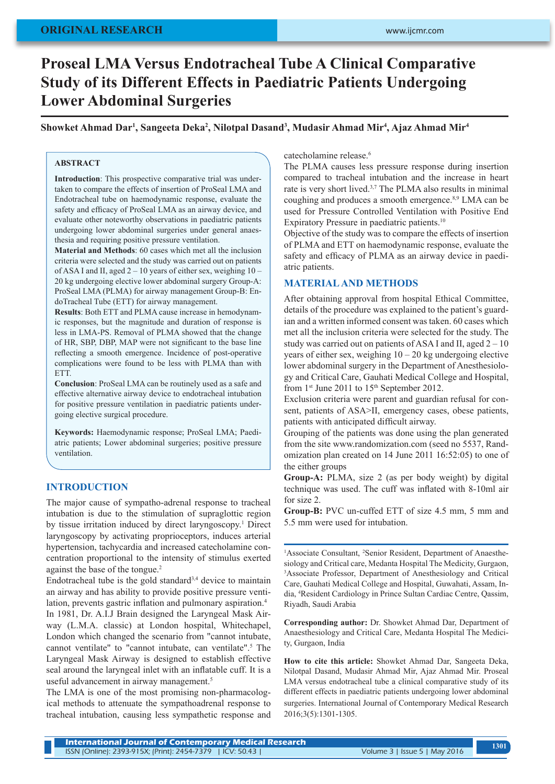## **ORIGINAL RESEARCH**

# **Proseal LMA Versus Endotracheal Tube A Clinical Comparative Study of its Different Effects in Paediatric Patients Undergoing Lower Abdominal Surgeries**

**Showket Ahmad Dar1 , Sangeeta Deka2 , Nilotpal Dasand3 , Mudasir Ahmad Mir4 , Ajaz Ahmad Mir4**

## **ABSTRACT**

**Introduction**: This prospective comparative trial was undertaken to compare the effects of insertion of ProSeal LMA and Endotracheal tube on haemodynamic response, evaluate the safety and efficacy of ProSeal LMA as an airway device, and evaluate other noteworthy observations in paediatric patients undergoing lower abdominal surgeries under general anaesthesia and requiring positive pressure ventilation.

**Material and Methods**: 60 cases which met all the inclusion criteria were selected and the study was carried out on patients of ASA I and II, aged 2 – 10 years of either sex, weighing 10 – 20 kg undergoing elective lower abdominal surgery Group-A: ProSeal LMA (PLMA) for airway management Group-B: EndoTracheal Tube (ETT) for airway management.

**Results**: Both ETT and PLMA cause increase in hemodynamic responses, but the magnitude and duration of response is less in LMA-PS. Removal of PLMA showed that the change of HR, SBP, DBP, MAP were not significant to the base line reflecting a smooth emergence. Incidence of post-operative complications were found to be less with PLMA than with ETT.

**Conclusion**: ProSeal LMA can be routinely used as a safe and effective alternative airway device to endotracheal intubation for positive pressure ventilation in paediatric patients undergoing elective surgical procedure.

**Keywords:** Haemodynamic response; ProSeal LMA; Paediatric patients; Lower abdominal surgeries; positive pressure ventilation.

## **INTRODUCTION**

The major cause of sympatho-adrenal response to tracheal intubation is due to the stimulation of supraglottic region by tissue irritation induced by direct laryngoscopy.<sup>1</sup> Direct laryngoscopy by activating proprioceptors, induces arterial hypertension, tachycardia and increased catecholamine concentration proportional to the intensity of stimulus exerted against the base of the tongue.<sup>2</sup>

Endotracheal tube is the gold standard<sup>3,4</sup> device to maintain an airway and has ability to provide positive pressure ventilation, prevents gastric inflation and pulmonary aspiration.<sup>4</sup> In 1981, Dr. A.I.J Brain designed the Laryngeal Mask Airway (L.M.A. classic) at London hospital, Whitechapel, London which changed the scenario from "cannot intubate, cannot ventilate" to "cannot intubate, can ventilate".5 The Laryngeal Mask Airway is designed to establish effective seal around the laryngeal inlet with an inflatable cuff. It is a useful advancement in airway management.<sup>5</sup>

The LMA is one of the most promising non-pharmacological methods to attenuate the sympathoadrenal response to tracheal intubation, causing less sympathetic response and catecholamine release.6

The PLMA causes less pressure response during insertion compared to tracheal intubation and the increase in heart rate is very short lived.3,7 The PLMA also results in minimal coughing and produces a smooth emergence.<sup>8,9</sup> LMA can be used for Pressure Controlled Ventilation with Positive End Expiratory Pressure in paediatric patients.<sup>10</sup>

Objective of the study was to compare the effects of insertion of PLMA and ETT on haemodynamic response, evaluate the safety and efficacy of PLMA as an airway device in paediatric patients.

## **MATERIAL AND METHODS**

After obtaining approval from hospital Ethical Committee, details of the procedure was explained to the patient's guardian and a written informed consent was taken. 60 cases which met all the inclusion criteria were selected for the study. The study was carried out on patients of ASA I and II, aged  $2 - 10$ years of either sex, weighing  $10 - 20$  kg undergoing elective lower abdominal surgery in the Department of Anesthesiology and Critical Care, Gauhati Medical College and Hospital, from  $1<sup>st</sup>$  June 2011 to  $15<sup>th</sup>$  September 2012.

Exclusion criteria were parent and guardian refusal for consent, patients of ASA>II, emergency cases, obese patients, patients with anticipated difficult airway.

Grouping of the patients was done using the plan generated from the site www.randomization.com (seed no 5537, Randomization plan created on 14 June 2011 16:52:05) to one of the either groups

**Group-A:** PLMA, size 2 (as per body weight) by digital technique was used. The cuff was inflated with 8-10ml air for size 2.

**Group-B:** PVC un-cuffed ETT of size 4.5 mm, 5 mm and 5.5 mm were used for intubation.

<sup>1</sup> Associate Consultant, <sup>2</sup> Senior Resident, Department of Anaesthesiology and Critical care, Medanta Hospital The Medicity, Gurgaon, 3 Associate Professor, Department of Anesthesiology and Critical Care, Gauhati Medical College and Hospital, Guwahati, Assam, India, 4 Resident Cardiology in Prince Sultan Cardiac Centre, Qassim, Riyadh, Saudi Arabia

**Corresponding author:** Dr. Showket Ahmad Dar, Department of Anaesthesiology and Critical Care, Medanta Hospital The Medicity, Gurgaon, India

**How to cite this article:** Showket Ahmad Dar, Sangeeta Deka, Nilotpal Dasand, Mudasir Ahmad Mir, Ajaz Ahmad Mir. Proseal LMA versus endotracheal tube a clinical comparative study of its different effects in paediatric patients undergoing lower abdominal surgeries. International Journal of Contemporary Medical Research 2016;3(5):1301-1305.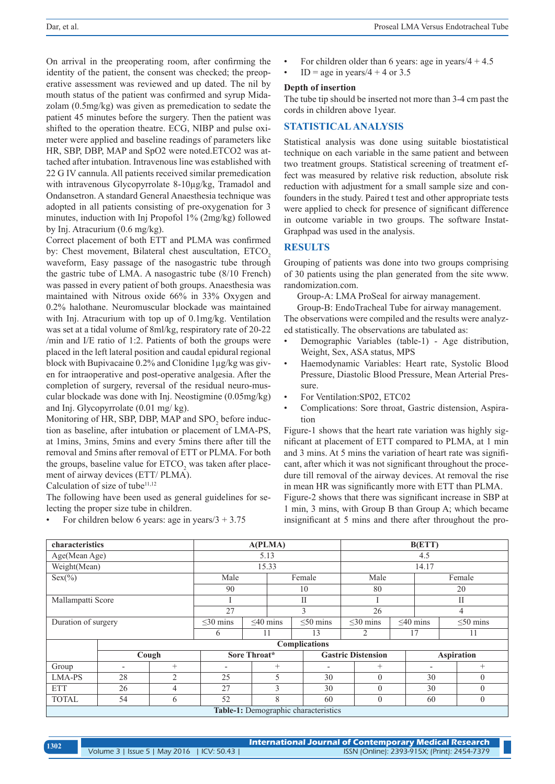On arrival in the preoperating room, after confirming the identity of the patient, the consent was checked; the preoperative assessment was reviewed and up dated. The nil by mouth status of the patient was confirmed and syrup Midazolam (0.5mg/kg) was given as premedication to sedate the patient 45 minutes before the surgery. Then the patient was shifted to the operation theatre. ECG, NIBP and pulse oximeter were applied and baseline readings of parameters like HR, SBP, DBP, MAP and SpO2 were noted.ETCO2 was attached after intubation. Intravenous line was established with 22 G IV cannula. All patients received similar premedication with intravenous Glycopyrrolate 8-10µg/kg, Tramadol and Ondansetron. A standard General Anaesthesia technique was adopted in all patients consisting of pre-oxygenation for 3 minutes, induction with Inj Propofol 1% (2mg/kg) followed by Inj. Atracurium (0.6 mg/kg).

Correct placement of both ETT and PLMA was confirmed by: Chest movement, Bilateral chest auscultation, ETCO<sub>2</sub> waveform, Easy passage of the nasogastric tube through the gastric tube of LMA. A nasogastric tube (8/10 French) was passed in every patient of both groups. Anaesthesia was maintained with Nitrous oxide 66% in 33% Oxygen and 0.2% halothane. Neuromuscular blockade was maintained with Inj. Atracurium with top up of 0.1mg/kg. Ventilation was set at a tidal volume of 8ml/kg, respiratory rate of 20-22 /min and I/E ratio of 1:2. Patients of both the groups were placed in the left lateral position and caudal epidural regional block with Bupivacaine 0.2% and Clonidine 1µg/kg was given for intraoperative and post-operative analgesia. After the completion of surgery, reversal of the residual neuro-muscular blockade was done with Inj. Neostigmine (0.05mg/kg) and Inj. Glycopyrrolate (0.01 mg/ kg).

Monitoring of HR, SBP, DBP, MAP and  $SPO<sub>2</sub>$  before induction as baseline, after intubation or placement of LMA-PS, at 1mins, 3mins, 5mins and every 5mins there after till the removal and 5mins after removal of ETT or PLMA. For both the groups, baseline value for  $\text{ETCO}_2$  was taken after placement of airway devices (ETT/ PLMA).

Calculation of size of tube<sup>11,12</sup>

The following have been used as general guidelines for selecting the proper size tube in children.

For children below 6 years: age in years/ $3 + 3.75$ 

- For children older than 6 years: age in years/ $4 + 4.5$
- $ID = age in years/4 + 4 or 3.5$

#### **Depth of insertion**

The tube tip should be inserted not more than 3-4 cm past the cords in children above 1year.

# **STATISTICAL ANALYSIS**

Statistical analysis was done using suitable biostatistical technique on each variable in the same patient and between two treatment groups. Statistical screening of treatment effect was measured by relative risk reduction, absolute risk reduction with adjustment for a small sample size and confounders in the study. Paired t test and other appropriate tests were applied to check for presence of significant difference in outcome variable in two groups. The software Instat-Graphpad was used in the analysis.

## **RESULTS**

Grouping of patients was done into two groups comprising of 30 patients using the plan generated from the site www. randomization.com.

Group-A: LMA ProSeal for airway management.

Group-B: EndoTracheal Tube for airway management. The observations were compiled and the results were analyzed statistically. The observations are tabulated as:

- Demographic Variables (table-1) Age distribution, Weight, Sex, ASA status, MPS
- Haemodynamic Variables: Heart rate, Systolic Blood Pressure, Diastolic Blood Pressure, Mean Arterial Pressure.
- For Ventilation:SP02, ETC02
- Complications: Sore throat, Gastric distension, Aspiration

Figure-1 shows that the heart rate variation was highly significant at placement of ETT compared to PLMA, at 1 min and 3 mins. At 5 mins the variation of heart rate was significant, after which it was not significant throughout the procedure till removal of the airway devices. At removal the rise in mean HR was significantly more with ETT than PLMA.

Figure-2 shows that there was significant increase in SBP at 1 min, 3 mins, with Group B than Group A; which became insignificant at 5 mins and there after throughout the pro-

| characteristics     |                          | A(PLMA)        |                          |                |        | B(ETT)                               |        |                           |                   |                          |    |                |  |
|---------------------|--------------------------|----------------|--------------------------|----------------|--------|--------------------------------------|--------|---------------------------|-------------------|--------------------------|----|----------------|--|
| Age(Mean Age)       |                          |                | 5.13                     |                |        |                                      | 4.5    |                           |                   |                          |    |                |  |
| Weight(Mean)        |                          |                | 15.33                    |                |        |                                      | 14.17  |                           |                   |                          |    |                |  |
| Sex(% )             |                          |                | Male                     |                | Female |                                      | Male   |                           |                   | Female                   |    |                |  |
|                     |                          | 90             |                          | 10             |        |                                      | 80     | 20                        |                   |                          |    |                |  |
| Mallampatti Score   |                          |                |                          |                | П      |                                      |        |                           |                   | $\mathbf{I}$             |    |                |  |
|                     |                          |                | 27                       |                | 3      |                                      | 26     |                           |                   | 4                        |    |                |  |
| Duration of surgery |                          |                | $\leq$ 30 mins           | $\leq 40$ mins |        | $\leq 50$ mins                       |        | $\leq$ 30 mins            |                   | $\leq 40$ mins           |    | $\leq 50$ mins |  |
|                     |                          |                | 6                        | 11             |        | 13                                   | 2      |                           | 17                |                          | 11 |                |  |
|                     | <b>Complications</b>     |                |                          |                |        |                                      |        |                           |                   |                          |    |                |  |
|                     | Cough                    |                | Sore Throat*             |                |        |                                      |        | <b>Gastric Distension</b> | <b>Aspiration</b> |                          |    |                |  |
| Group               | $\overline{\phantom{a}}$ | $^{+}$         | $\overline{\phantom{0}}$ |                | $^{+}$ |                                      | $^{+}$ |                           |                   | $\overline{\phantom{a}}$ |    | $^{+}$         |  |
| LMA-PS              | 28                       | $\overline{2}$ | 25                       |                | 5      | 30                                   |        | $\theta$                  |                   | 30                       |    | $\theta$       |  |
| <b>ETT</b>          | 26                       | $\overline{4}$ | 27                       |                | 3      | 30                                   |        | $\theta$                  |                   | 30                       |    | $\theta$       |  |
| <b>TOTAL</b>        | 54                       | 6              | 52                       |                | 8      | 60                                   |        | $\mathbf{0}$              |                   | 60                       |    | $\theta$       |  |
|                     |                          |                |                          |                |        | Table-1: Demographic characteristics |        |                           |                   |                          |    |                |  |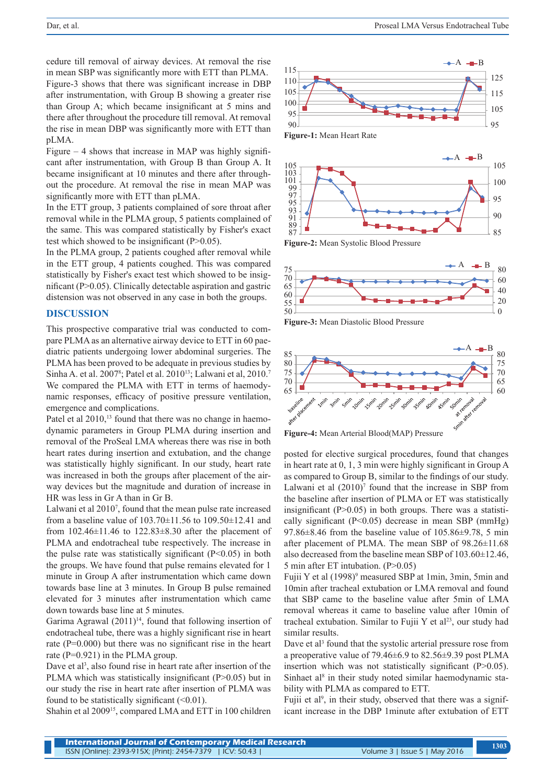cedure till removal of airway devices. At removal the rise in mean SBP was significantly more with ETT than PLMA. Figure-3 shows that there was significant increase in DBP after instrumentation, with Group B showing a greater rise than Group A; which became insignificant at 5 mins and there after throughout the procedure till removal. At removal the rise in mean DBP was significantly more with ETT than pLMA.

Figure  $-4$  shows that increase in MAP was highly significant after instrumentation, with Group B than Group A. It became insignificant at 10 minutes and there after throughout the procedure. At removal the rise in mean MAP was significantly more with ETT than pLMA.

In the ETT group, 3 patients complained of sore throat after removal while in the PLMA group, 5 patients complained of the same. This was compared statistically by Fisher's exact test which showed to be insignificant (P>0.05).

In the PLMA group, 2 patients coughed after removal while in the ETT group, 4 patients coughed. This was compared statistically by Fisher's exact test which showed to be insignificant (P>0.05). Clinically detectable aspiration and gastric distension was not observed in any case in both the groups.

## **DISCUSSION**

This prospective comparative trial was conducted to compare PLMA as an alternative airway device to ETT in 60 paediatric patients undergoing lower abdominal surgeries. The PLMA has been proved to be adequate in previous studies by Sinha A. et al. 2007<sup>8</sup>; Patel et al. 2010<sup>13</sup>; Lalwani et al, 2010.<sup>7</sup> We compared the PLMA with ETT in terms of haemodynamic responses, efficacy of positive pressure ventilation, emergence and complications.

Patel et al 2010,<sup>13</sup> found that there was no change in haemodynamic parameters in Group PLMA during insertion and removal of the ProSeal LMA whereas there was rise in both heart rates during insertion and extubation, and the change was statistically highly significant. In our study, heart rate was increased in both the groups after placement of the airway devices but the magnitude and duration of increase in HR was less in Gr A than in Gr B.

Lalwani et al 2010<sup>7</sup>, found that the mean pulse rate increased from a baseline value of 103.70±11.56 to 109.50±12.41 and from  $102.46 \pm 11.46$  to  $122.83 \pm 8.30$  after the placement of PLMA and endotracheal tube respectively. The increase in the pulse rate was statistically significant  $(P<0.05)$  in both the groups. We have found that pulse remains elevated for 1 minute in Group A after instrumentation which came down towards base line at 3 minutes. In Group B pulse remained elevated for 3 minutes after instrumentation which came down towards base line at 5 minutes.

Garima Agrawal  $(2011)^{14}$ , found that following insertion of endotracheal tube, there was a highly significant rise in heart rate (P=0.000) but there was no significant rise in the heart rate (P=0.921) in the PLMA group.

Dave et al<sup>3</sup>, also found rise in heart rate after insertion of the PLMA which was statistically insignificant (P>0.05) but in our study the rise in heart rate after insertion of PLMA was found to be statistically significant  $(\leq 0.01)$ .

Shahin et al 200915, compared LMA and ETT in 100 children



**Figure-1:** Mean Heart Rate



**Figure-2:** Mean Systolic Blood Pressure



**Figure-3:** Mean Diastolic Blood Pressure



**Figure-4:** Mean Arterial Blood(MAP) Pressure

posted for elective surgical procedures, found that changes in heart rate at 0, 1, 3 min were highly significant in Group A as compared to Group B, similar to the findings of our study. Lalwani et al  $(2010)^7$  found that the increase in SBP from the baseline after insertion of PLMA or ET was statistically insignificant  $(P>0.05)$  in both groups. There was a statistically significant  $(P<0.05)$  decrease in mean SBP (mmHg) 97.86±8.46 from the baseline value of 105.86±9.78, 5 min after placement of PLMA. The mean SBP of 98.26±11.68 also decreased from the baseline mean SBP of 103.60±12.46, 5 min after ET intubation. (P>0.05)

Fujii Y et al (1998)<sup>9</sup> measured SBP at 1min, 3min, 5min and 10min after tracheal extubation or LMA removal and found that SBP came to the baseline value after 5min of LMA removal whereas it came to baseline value after 10min of tracheal extubation. Similar to Fujii Y et al<sup>23</sup>, our study had similar results.

Dave et al<sup>3</sup> found that the systolic arterial pressure rose from a preoperative value of 79.46±6.9 to 82.56±9.39 post PLMA insertion which was not statistically significant  $(P>0.05)$ . Sinhaet al<sup>8</sup> in their study noted similar haemodynamic stability with PLMA as compared to ETT.

Fujii et al<sup>9</sup>, in their study, observed that there was a significant increase in the DBP 1minute after extubation of ETT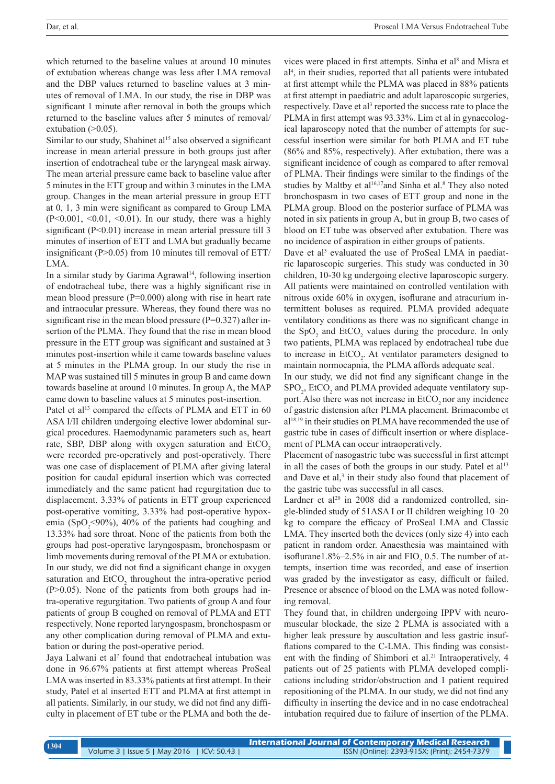which returned to the baseline values at around 10 minutes of extubation whereas change was less after LMA removal and the DBP values returned to baseline values at 3 minutes of removal of LMA. In our study, the rise in DBP was significant 1 minute after removal in both the groups which returned to the baseline values after 5 minutes of removal/ extubation  $(>0.05)$ .

Similar to our study, Shahinet al<sup>15</sup> also observed a significant increase in mean arterial pressure in both groups just after insertion of endotracheal tube or the laryngeal mask airway. The mean arterial pressure came back to baseline value after 5 minutes in the ETT group and within 3 minutes in the LMA group. Changes in the mean arterial pressure in group ETT at 0, 1, 3 min were significant as compared to Group LMA  $(P<0.001, \le 0.01, \le 0.01)$ . In our study, there was a highly significant (P<0.01) increase in mean arterial pressure till 3 minutes of insertion of ETT and LMA but gradually became insignificant (P>0.05) from 10 minutes till removal of ETT/ LMA.

In a similar study by Garima Agrawal<sup>14</sup>, following insertion of endotracheal tube, there was a highly significant rise in mean blood pressure (P=0.000) along with rise in heart rate and intraocular pressure. Whereas, they found there was no significant rise in the mean blood pressure ( $P=0.327$ ) after insertion of the PLMA. They found that the rise in mean blood pressure in the ETT group was significant and sustained at 3 minutes post-insertion while it came towards baseline values at 5 minutes in the PLMA group. In our study the rise in MAP was sustained till 5 minutes in group B and came down towards baseline at around 10 minutes. In group A, the MAP came down to baseline values at 5 minutes post-insertion.

Patel et al<sup>13</sup> compared the effects of PLMA and ETT in 60 ASA I/II children undergoing elective lower abdominal surgical procedures. Haemodynamic parameters such as, heart rate, SBP, DBP along with oxygen saturation and EtCO<sub>2</sub> were recorded pre-operatively and post-operatively. There was one case of displacement of PLMA after giving lateral position for caudal epidural insertion which was corrected immediately and the same patient had regurgitation due to displacement. 3.33% of patients in ETT group experienced post-operative vomiting, 3.33% had post-operative hypoxemia (SpO<sub>2</sub><90%), 40% of the patients had coughing and 13.33% had sore throat. None of the patients from both the groups had post-operative laryngospasm, bronchospasm or limb movements during removal of the PLMA or extubation. In our study, we did not find a significant change in oxygen saturation and  $E<sub>1</sub>ECO<sub>2</sub>$  throughout the intra-operative period  $(P>0.05)$ . None of the patients from both groups had intra-operative regurgitation. Two patients of group A and four patients of group B coughed on removal of PLMA and ETT respectively. None reported laryngospasm, bronchospasm or any other complication during removal of PLMA and extubation or during the post-operative period.

Jaya Lalwani et al<sup>7</sup> found that endotracheal intubation was done in 96.67% patients at first attempt whereas ProSeal LMA was inserted in 83.33% patients at first attempt. In their study, Patel et al inserted ETT and PLMA at first attempt in all patients. Similarly, in our study, we did not find any difficulty in placement of ET tube or the PLMA and both the de-

vices were placed in first attempts. Sinha et al<sup>8</sup> and Misra et al4 , in their studies, reported that all patients were intubated at first attempt while the PLMA was placed in 88% patients at first attempt in paediatric and adult laparoscopic surgeries, respectively. Dave et al<sup>3</sup> reported the success rate to place the PLMA in first attempt was 93.33%. Lim et al in gynaecological laparoscopy noted that the number of attempts for successful insertion were similar for both PLMA and ET tube (86% and 85%, respectively). After extubation, there was a significant incidence of cough as compared to after removal of PLMA. Their findings were similar to the findings of the studies by Maltby et al<sup>16,17</sup> and Sinha et al.<sup>8</sup> They also noted bronchospasm in two cases of ETT group and none in the PLMA group. Blood on the posterior surface of PLMA was noted in six patients in group A, but in group B, two cases of blood on ET tube was observed after extubation. There was no incidence of aspiration in either groups of patients.

Dave et al<sup>3</sup> evaluated the use of ProSeal LMA in paediatric laparoscopic surgeries. This study was conducted in 30 children, 10-30 kg undergoing elective laparoscopic surgery. All patients were maintained on controlled ventilation with nitrous oxide 60% in oxygen, isoflurane and atracurium intermittent boluses as required. PLMA provided adequate ventilatory conditions as there was no significant change in the  $SpO<sub>2</sub>$  and  $EtCO<sub>2</sub>$  values during the procedure. In only two patients, PLMA was replaced by endotracheal tube due to increase in  $EtCO<sub>2</sub>$ . At ventilator parameters designed to maintain normocapnia, the PLMA affords adequate seal.

In our study, we did not find any significant change in the  $SPO<sub>2</sub>$ , EtCO<sub>2</sub> and PLMA provided adequate ventilatory support. Also there was not increase in  $ECO<sub>2</sub>$  nor any incidence of gastric distension after PLMA placement. Brimacombe et al18,19 in their studies on PLMA have recommended the use of gastric tube in cases of difficult insertion or where displacement of PLMA can occur intraoperatively.

Placement of nasogastric tube was successful in first attempt in all the cases of both the groups in our study. Patel et  $a^{13}$ and Dave et al,<sup>3</sup> in their study also found that placement of the gastric tube was successful in all cases.

Lardner et al<sup>20</sup> in 2008 did a randomized controlled, single-blinded study of 51ASA I or II children weighing 10–20 kg to compare the efficacy of ProSeal LMA and Classic LMA. They inserted both the devices (only size 4) into each patient in random order. Anaesthesia was maintained with isoflurane1.8%–2.5% in air and  $FIO<sub>2</sub> 0.5$ . The number of attempts, insertion time was recorded, and ease of insertion was graded by the investigator as easy, difficult or failed. Presence or absence of blood on the LMA was noted following removal.

They found that, in children undergoing IPPV with neuromuscular blockade, the size 2 PLMA is associated with a higher leak pressure by auscultation and less gastric insufflations compared to the C-LMA. This finding was consistent with the finding of Shimbori et al.<sup>21</sup> Intraoperatively, 4 patients out of 25 patients with PLMA developed complications including stridor/obstruction and 1 patient required repositioning of the PLMA. In our study, we did not find any difficulty in inserting the device and in no case endotracheal intubation required due to failure of insertion of the PLMA.